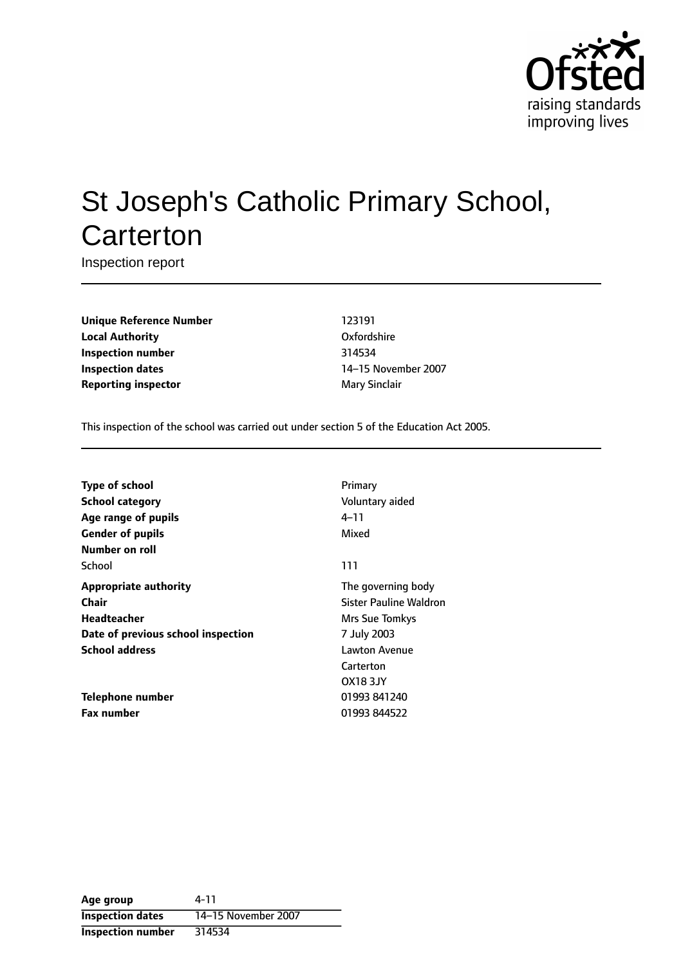

# St Joseph's Catholic Primary School, **Carterton**

Inspection report

**Unique Reference Number** 123191 **Local Authority** Oxfordshire **Inspection number** 314534 **Inspection dates** 14-15 November 2007 **Reporting inspector** Mary Sinclair

This inspection of the school was carried out under section 5 of the Education Act 2005.

| Type of school                     | Primary                |
|------------------------------------|------------------------|
| School category                    | Voluntary aided        |
| Age range of pupils                | $4 - 11$               |
| <b>Gender of pupils</b>            | Mixed                  |
| Number on roll                     |                        |
| School                             | 111                    |
| <b>Appropriate authority</b>       | The governing body     |
| Chair                              | Sister Pauline Waldron |
| <b>Headteacher</b>                 | Mrs Sue Tomkys         |
| Date of previous school inspection | 7 July 2003            |
| <b>School address</b>              | <b>Lawton Avenue</b>   |
|                                    | Carterton              |
|                                    | <b>OX18 3JY</b>        |
| Telephone number                   | 01993 841240           |
| <b>Fax number</b>                  | 01993 844522           |

**Age group** 4-11 **Inspection dates** 14-15 November 2007 **Inspection number** 314534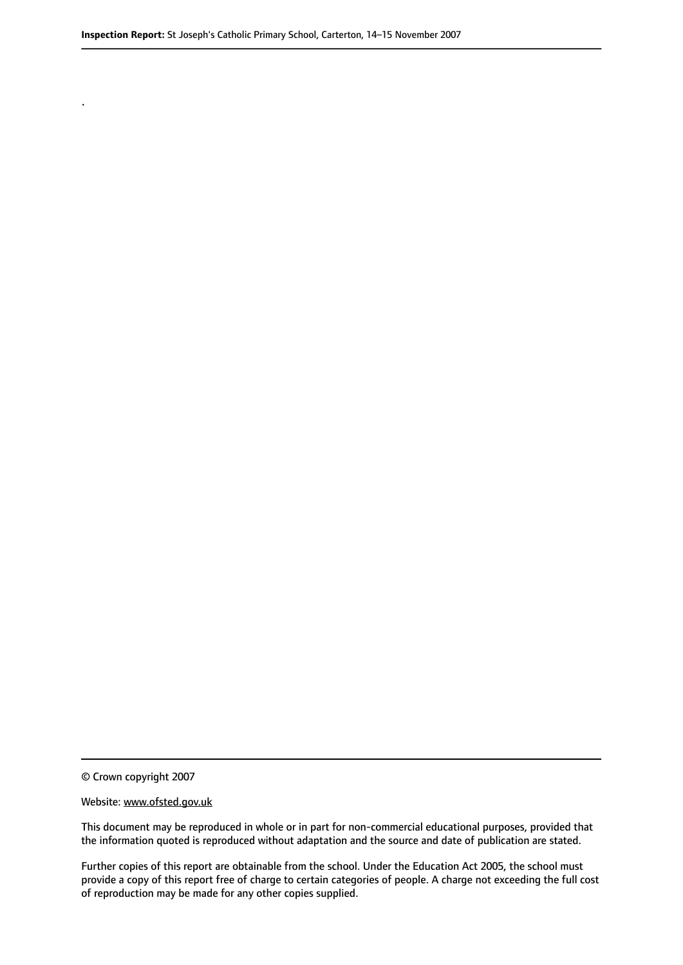© Crown copyright 2007

.

#### Website: www.ofsted.gov.uk

This document may be reproduced in whole or in part for non-commercial educational purposes, provided that the information quoted is reproduced without adaptation and the source and date of publication are stated.

Further copies of this report are obtainable from the school. Under the Education Act 2005, the school must provide a copy of this report free of charge to certain categories of people. A charge not exceeding the full cost of reproduction may be made for any other copies supplied.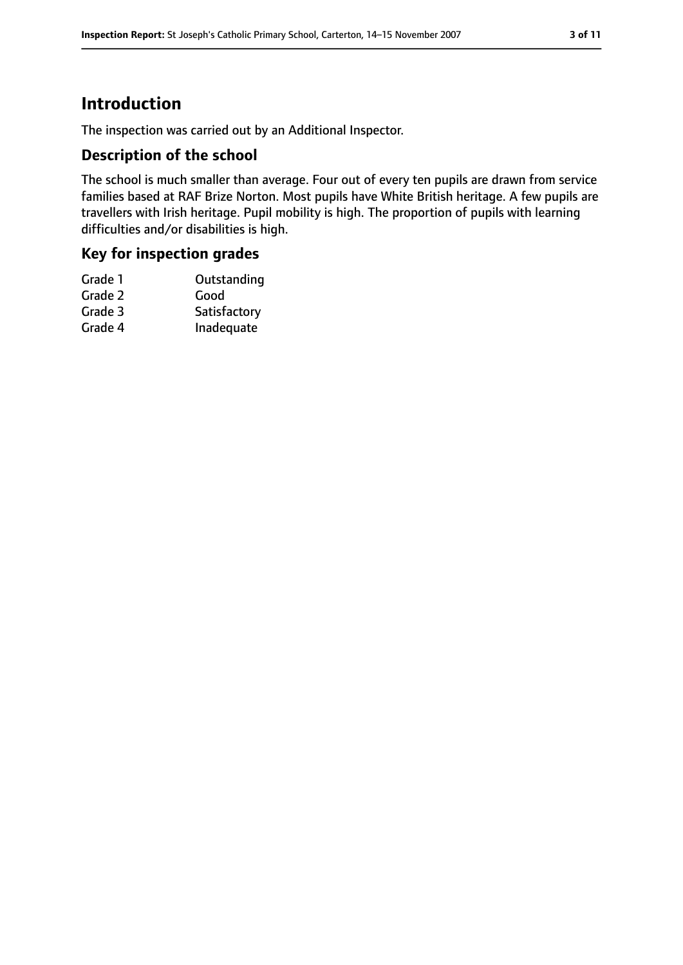# **Introduction**

The inspection was carried out by an Additional Inspector.

#### **Description of the school**

The school is much smaller than average. Four out of every ten pupils are drawn from service families based at RAF Brize Norton. Most pupils have White British heritage. A few pupils are travellers with Irish heritage. Pupil mobility is high. The proportion of pupils with learning difficulties and/or disabilities is high.

#### **Key for inspection grades**

| Grade 1 | Outstanding  |
|---------|--------------|
| Grade 2 | Good         |
| Grade 3 | Satisfactory |
| Grade 4 | Inadequate   |
|         |              |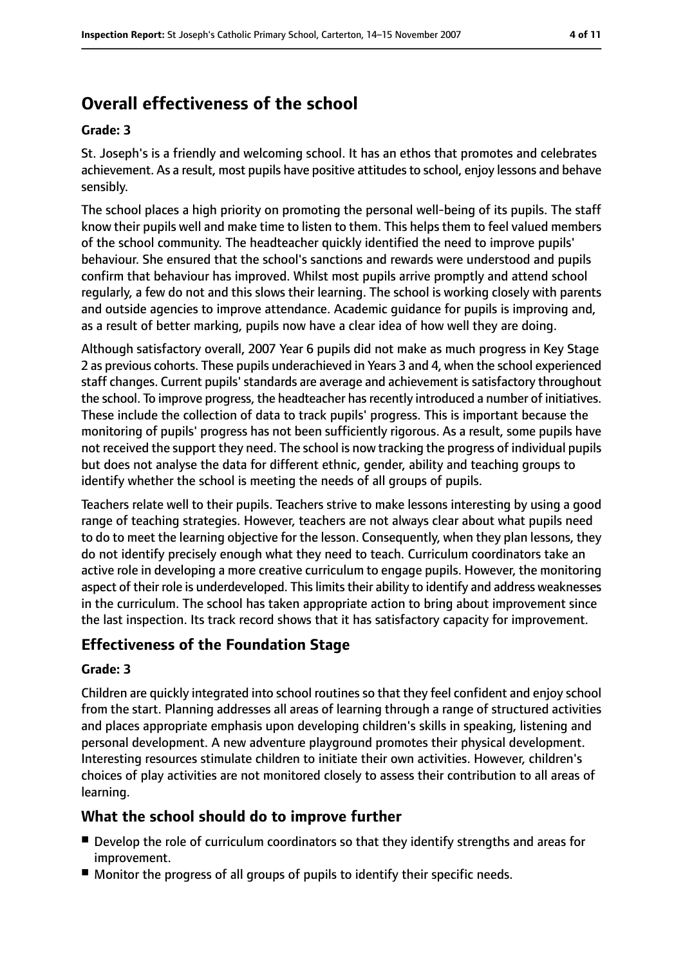# **Overall effectiveness of the school**

#### **Grade: 3**

St. Joseph's is a friendly and welcoming school. It has an ethos that promotes and celebrates achievement. As a result, most pupils have positive attitudes to school, enjoy lessons and behave sensibly.

The school places a high priority on promoting the personal well-being of its pupils. The staff know their pupils well and make time to listen to them. This helps them to feel valued members of the school community. The headteacher quickly identified the need to improve pupils' behaviour. She ensured that the school's sanctions and rewards were understood and pupils confirm that behaviour has improved. Whilst most pupils arrive promptly and attend school regularly, a few do not and this slows their learning. The school is working closely with parents and outside agencies to improve attendance. Academic guidance for pupils is improving and, as a result of better marking, pupils now have a clear idea of how well they are doing.

Although satisfactory overall, 2007 Year 6 pupils did not make as much progress in Key Stage 2 as previous cohorts. These pupils underachieved in Years 3 and 4, when the school experienced staff changes. Current pupils' standards are average and achievement is satisfactory throughout the school. To improve progress, the headteacher hasrecently introduced a number of initiatives. These include the collection of data to track pupils' progress. This is important because the monitoring of pupils' progress has not been sufficiently rigorous. As a result, some pupils have not received the support they need. The school is now tracking the progress of individual pupils but does not analyse the data for different ethnic, gender, ability and teaching groups to identify whether the school is meeting the needs of all groups of pupils.

Teachers relate well to their pupils. Teachers strive to make lessons interesting by using a good range of teaching strategies. However, teachers are not always clear about what pupils need to do to meet the learning objective for the lesson. Consequently, when they plan lessons, they do not identify precisely enough what they need to teach. Curriculum coordinators take an active role in developing a more creative curriculum to engage pupils. However, the monitoring aspect of their role is underdeveloped. This limits their ability to identify and address weaknesses in the curriculum. The school has taken appropriate action to bring about improvement since the last inspection. Its track record shows that it has satisfactory capacity for improvement.

#### **Effectiveness of the Foundation Stage**

#### **Grade: 3**

Children are quickly integrated into school routines so that they feel confident and enjoy school from the start. Planning addresses all areas of learning through a range of structured activities and places appropriate emphasis upon developing children's skills in speaking, listening and personal development. A new adventure playground promotes their physical development. Interesting resources stimulate children to initiate their own activities. However, children's choices of play activities are not monitored closely to assess their contribution to all areas of learning.

### **What the school should do to improve further**

- Develop the role of curriculum coordinators so that they identify strengths and areas for improvement.
- Monitor the progress of all groups of pupils to identify their specific needs.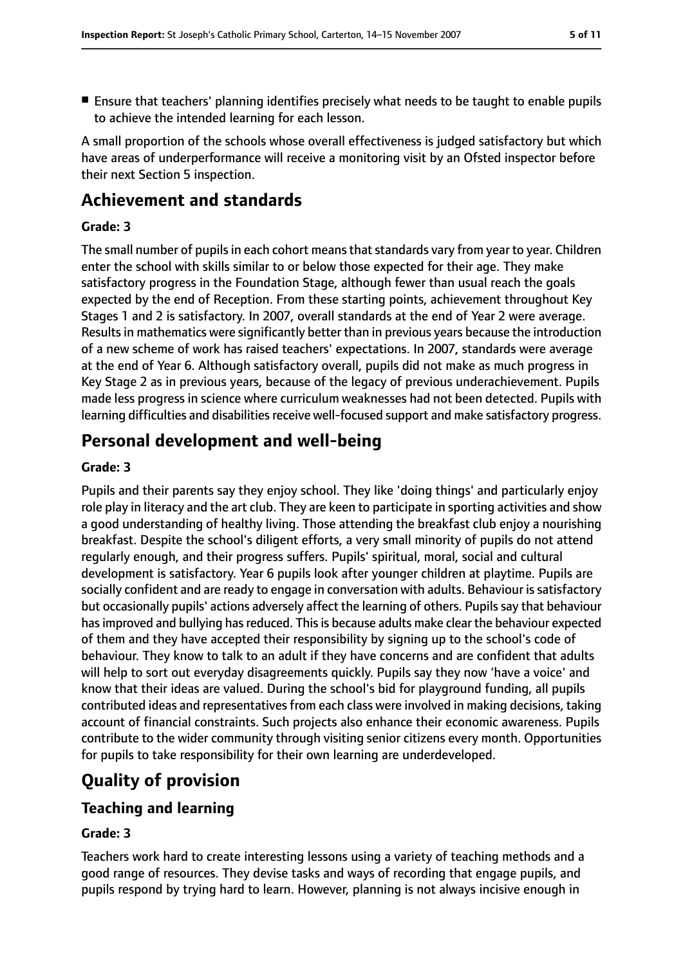■ Ensure that teachers' planning identifies precisely what needs to be taught to enable pupils to achieve the intended learning for each lesson.

A small proportion of the schools whose overall effectiveness is judged satisfactory but which have areas of underperformance will receive a monitoring visit by an Ofsted inspector before their next Section 5 inspection.

## **Achievement and standards**

#### **Grade: 3**

The small number of pupils in each cohort means that standards vary from year to year. Children enter the school with skills similar to or below those expected for their age. They make satisfactory progress in the Foundation Stage, although fewer than usual reach the goals expected by the end of Reception. From these starting points, achievement throughout Key Stages 1 and 2 is satisfactory. In 2007, overall standards at the end of Year 2 were average. Results in mathematics were significantly better than in previous years because the introduction of a new scheme of work has raised teachers' expectations. In 2007, standards were average at the end of Year 6. Although satisfactory overall, pupils did not make as much progress in Key Stage 2 as in previous years, because of the legacy of previous underachievement. Pupils made less progress in science where curriculum weaknesses had not been detected. Pupils with learning difficulties and disabilities receive well-focused support and make satisfactory progress.

# **Personal development and well-being**

#### **Grade: 3**

Pupils and their parents say they enjoy school. They like 'doing things' and particularly enjoy role play in literacy and the art club. They are keen to participate in sporting activities and show a good understanding of healthy living. Those attending the breakfast club enjoy a nourishing breakfast. Despite the school's diligent efforts, a very small minority of pupils do not attend regularly enough, and their progress suffers. Pupils' spiritual, moral, social and cultural development is satisfactory. Year 6 pupils look after younger children at playtime. Pupils are socially confident and are ready to engage in conversation with adults. Behaviour is satisfactory but occasionally pupils' actions adversely affect the learning of others. Pupils say that behaviour has improved and bullying has reduced. This is because adults make clear the behaviour expected of them and they have accepted their responsibility by signing up to the school's code of behaviour. They know to talk to an adult if they have concerns and are confident that adults will help to sort out everyday disagreements quickly. Pupils say they now 'have a voice' and know that their ideas are valued. During the school's bid for playground funding, all pupils contributed ideas and representatives from each class were involved in making decisions, taking account of financial constraints. Such projects also enhance their economic awareness. Pupils contribute to the wider community through visiting senior citizens every month. Opportunities for pupils to take responsibility for their own learning are underdeveloped.

# **Quality of provision**

### **Teaching and learning**

#### **Grade: 3**

Teachers work hard to create interesting lessons using a variety of teaching methods and a good range of resources. They devise tasks and ways of recording that engage pupils, and pupils respond by trying hard to learn. However, planning is not always incisive enough in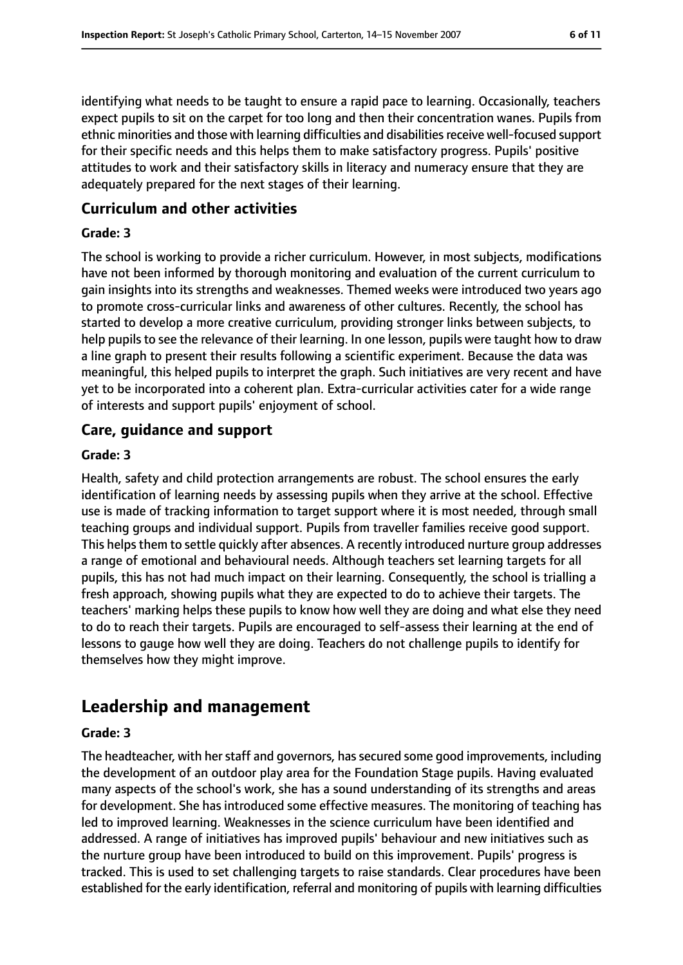identifying what needs to be taught to ensure a rapid pace to learning. Occasionally, teachers expect pupils to sit on the carpet for too long and then their concentration wanes. Pupils from ethnic minorities and those with learning difficulties and disabilitiesreceive well-focused support for their specific needs and this helps them to make satisfactory progress. Pupils' positive attitudes to work and their satisfactory skills in literacy and numeracy ensure that they are adequately prepared for the next stages of their learning.

#### **Curriculum and other activities**

#### **Grade: 3**

The school is working to provide a richer curriculum. However, in most subjects, modifications have not been informed by thorough monitoring and evaluation of the current curriculum to gain insights into its strengths and weaknesses. Themed weeks were introduced two years ago to promote cross-curricular links and awareness of other cultures. Recently, the school has started to develop a more creative curriculum, providing stronger links between subjects, to help pupils to see the relevance of their learning. In one lesson, pupils were taught how to draw a line graph to present their results following a scientific experiment. Because the data was meaningful, this helped pupils to interpret the graph. Such initiatives are very recent and have yet to be incorporated into a coherent plan. Extra-curricular activities cater for a wide range of interests and support pupils' enjoyment of school.

#### **Care, guidance and support**

#### **Grade: 3**

Health, safety and child protection arrangements are robust. The school ensures the early identification of learning needs by assessing pupils when they arrive at the school. Effective use is made of tracking information to target support where it is most needed, through small teaching groups and individual support. Pupils from traveller families receive good support. This helps them to settle quickly after absences. A recently introduced nurture group addresses a range of emotional and behavioural needs. Although teachers set learning targets for all pupils, this has not had much impact on their learning. Consequently, the school is trialling a fresh approach, showing pupils what they are expected to do to achieve their targets. The teachers' marking helps these pupils to know how well they are doing and what else they need to do to reach their targets. Pupils are encouraged to self-assess their learning at the end of lessons to gauge how well they are doing. Teachers do not challenge pupils to identify for themselves how they might improve.

### **Leadership and management**

#### **Grade: 3**

The headteacher, with her staff and governors, has secured some good improvements, including the development of an outdoor play area for the Foundation Stage pupils. Having evaluated many aspects of the school's work, she has a sound understanding of its strengths and areas for development. She has introduced some effective measures. The monitoring of teaching has led to improved learning. Weaknesses in the science curriculum have been identified and addressed. A range of initiatives has improved pupils' behaviour and new initiatives such as the nurture group have been introduced to build on this improvement. Pupils' progress is tracked. This is used to set challenging targets to raise standards. Clear procedures have been established for the early identification, referral and monitoring of pupils with learning difficulties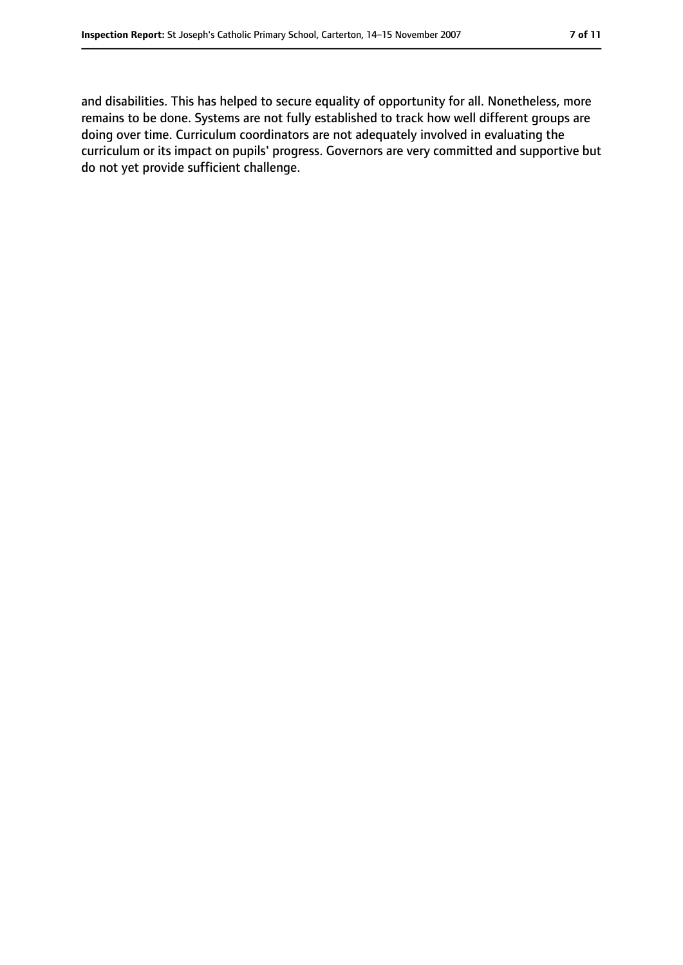and disabilities. This has helped to secure equality of opportunity for all. Nonetheless, more remains to be done. Systems are not fully established to track how well different groups are doing over time. Curriculum coordinators are not adequately involved in evaluating the curriculum or its impact on pupils' progress. Governors are very committed and supportive but do not yet provide sufficient challenge.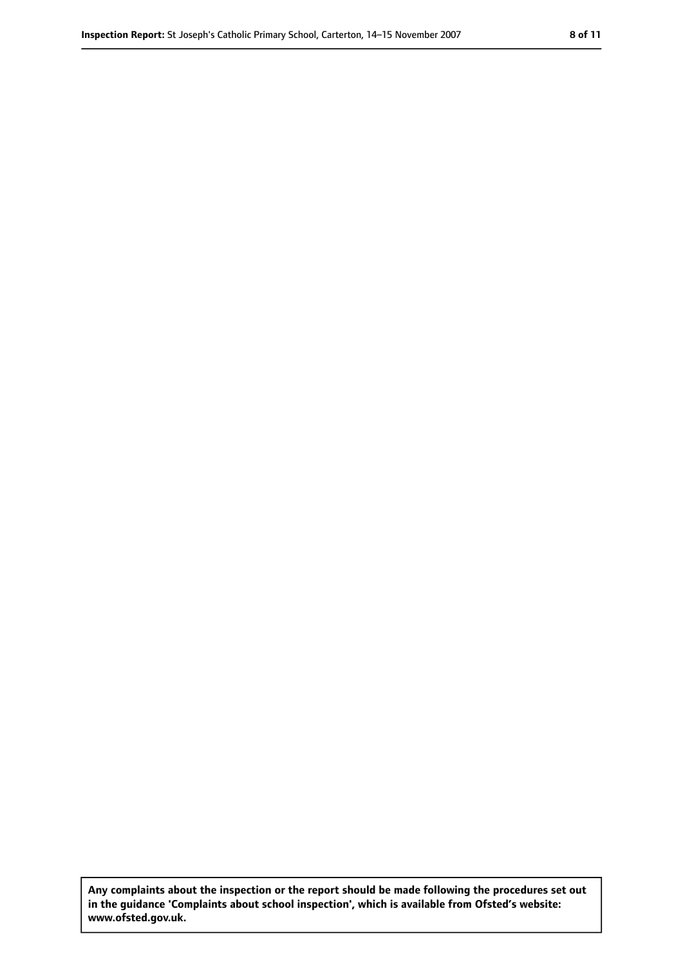**Any complaints about the inspection or the report should be made following the procedures set out in the guidance 'Complaints about school inspection', which is available from Ofsted's website: www.ofsted.gov.uk.**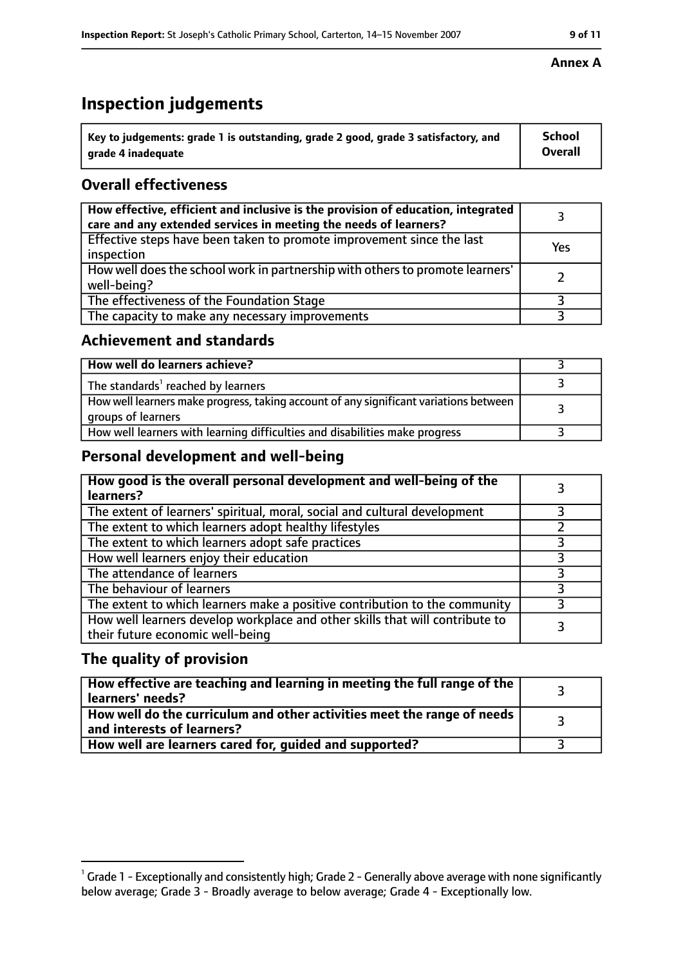# **Inspection judgements**

| $^{\backprime}$ Key to judgements: grade 1 is outstanding, grade 2 good, grade 3 satisfactory, and | <b>School</b>  |
|----------------------------------------------------------------------------------------------------|----------------|
| arade 4 inadeguate                                                                                 | <b>Overall</b> |

### **Overall effectiveness**

| How effective, efficient and inclusive is the provision of education, integrated<br>care and any extended services in meeting the needs of learners? |     |
|------------------------------------------------------------------------------------------------------------------------------------------------------|-----|
| Effective steps have been taken to promote improvement since the last<br>inspection                                                                  | Yes |
| How well does the school work in partnership with others to promote learners'<br>well-being?                                                         |     |
| The effectiveness of the Foundation Stage                                                                                                            |     |
| The capacity to make any necessary improvements                                                                                                      |     |

#### **Achievement and standards**

| How well do learners achieve?                                                                               |  |
|-------------------------------------------------------------------------------------------------------------|--|
| The standards <sup>1</sup> reached by learners                                                              |  |
| How well learners make progress, taking account of any significant variations between<br>groups of learners |  |
| How well learners with learning difficulties and disabilities make progress                                 |  |

### **Personal development and well-being**

| How good is the overall personal development and well-being of the<br>learners?                                  |  |
|------------------------------------------------------------------------------------------------------------------|--|
| The extent of learners' spiritual, moral, social and cultural development                                        |  |
| The extent to which learners adopt healthy lifestyles                                                            |  |
| The extent to which learners adopt safe practices                                                                |  |
| How well learners enjoy their education                                                                          |  |
| The attendance of learners                                                                                       |  |
| The behaviour of learners                                                                                        |  |
| The extent to which learners make a positive contribution to the community                                       |  |
| How well learners develop workplace and other skills that will contribute to<br>their future economic well-being |  |

#### **The quality of provision**

| How effective are teaching and learning in meeting the full range of the<br>learners' needs?          |  |
|-------------------------------------------------------------------------------------------------------|--|
| How well do the curriculum and other activities meet the range of needs<br>and interests of learners? |  |
| How well are learners cared for, guided and supported?                                                |  |

#### **Annex A**

 $^1$  Grade 1 - Exceptionally and consistently high; Grade 2 - Generally above average with none significantly below average; Grade 3 - Broadly average to below average; Grade 4 - Exceptionally low.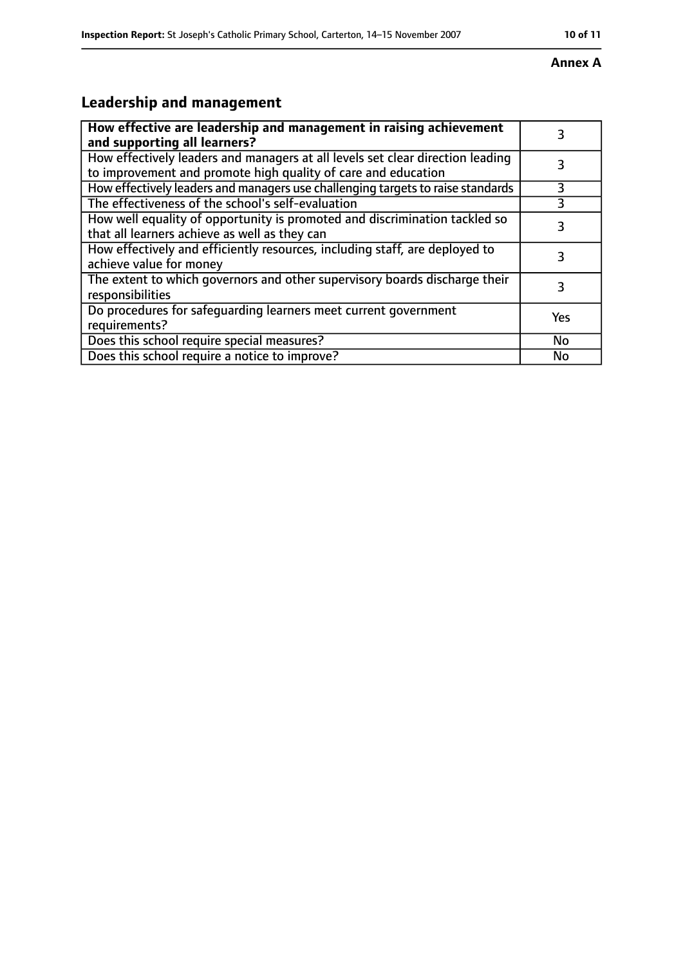# **Annex A**

# **Leadership and management**

| How effective are leadership and management in raising achievement<br>and supporting all learners?                                              | 3   |
|-------------------------------------------------------------------------------------------------------------------------------------------------|-----|
| How effectively leaders and managers at all levels set clear direction leading<br>to improvement and promote high quality of care and education |     |
| How effectively leaders and managers use challenging targets to raise standards                                                                 | 3   |
| The effectiveness of the school's self-evaluation                                                                                               | 3   |
| How well equality of opportunity is promoted and discrimination tackled so<br>that all learners achieve as well as they can                     | 3   |
| How effectively and efficiently resources, including staff, are deployed to<br>achieve value for money                                          | 3   |
| The extent to which governors and other supervisory boards discharge their<br>responsibilities                                                  | 3   |
| Do procedures for safequarding learners meet current government<br>requirements?                                                                | Yes |
| Does this school require special measures?                                                                                                      | No  |
| Does this school require a notice to improve?                                                                                                   | No  |